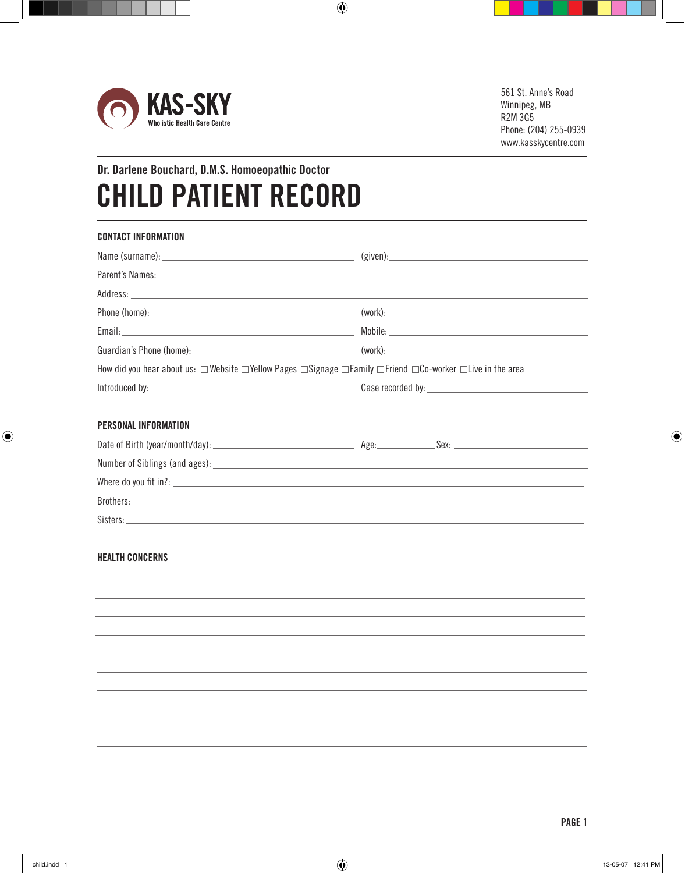

# **Dr. Darlene Bouchard, D.M.S. Homoeopathic Doctor CHILD PATIENT RECORD**

| (given): 2008 2012 2022 2023 2024 2022 2022 2023 2024 2022 2023 2024 2022 2023 2024 2022 2023 2024 2022 2023 20                                                                                                               |
|-------------------------------------------------------------------------------------------------------------------------------------------------------------------------------------------------------------------------------|
|                                                                                                                                                                                                                               |
|                                                                                                                                                                                                                               |
|                                                                                                                                                                                                                               |
|                                                                                                                                                                                                                               |
|                                                                                                                                                                                                                               |
| How did you hear about us: $\Box$ Website $\Box$ Yellow Pages $\Box$ Signage $\Box$ Family $\Box$ Friend $\Box$ Co-worker $\Box$ Live in the area                                                                             |
|                                                                                                                                                                                                                               |
|                                                                                                                                                                                                                               |
|                                                                                                                                                                                                                               |
|                                                                                                                                                                                                                               |
|                                                                                                                                                                                                                               |
| Brothers: The contract of the contract of the contract of the contract of the contract of the contract of the contract of the contract of the contract of the contract of the contract of the contract of the contract of the |
|                                                                                                                                                                                                                               |
|                                                                                                                                                                                                                               |
|                                                                                                                                                                                                                               |
|                                                                                                                                                                                                                               |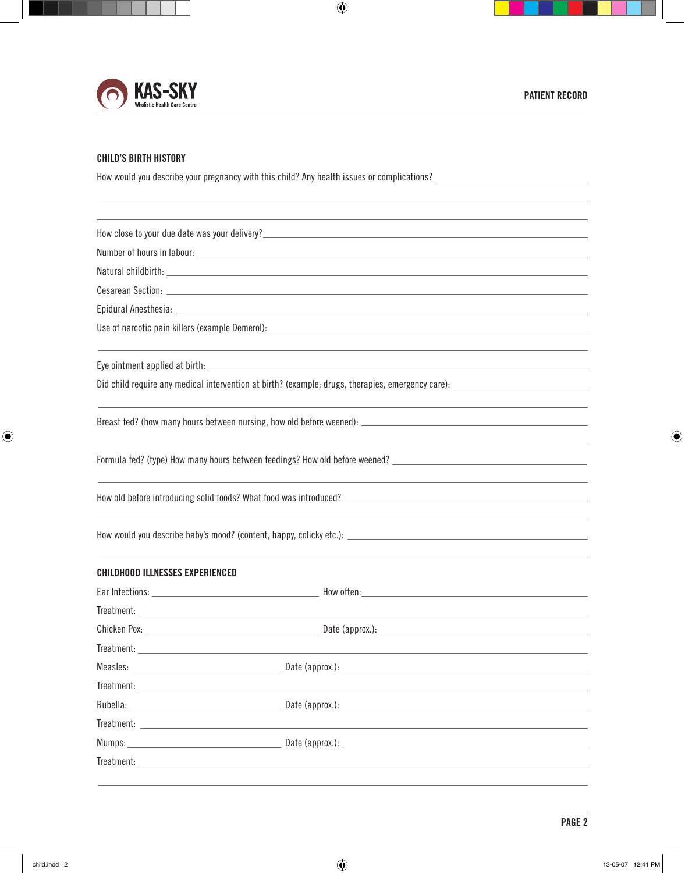

## **CHILD'S BIRTH HISTORY**

How would you describe your pregnancy with this child? Any health issues or complications? \_\_\_\_\_\_\_\_\_\_\_\_\_\_\_\_\_\_\_\_\_\_\_\_\_

|                                                                                                                                                                                                                                | How close to your due date was your delivery?___________________________________                                                                                                                                               |
|--------------------------------------------------------------------------------------------------------------------------------------------------------------------------------------------------------------------------------|--------------------------------------------------------------------------------------------------------------------------------------------------------------------------------------------------------------------------------|
|                                                                                                                                                                                                                                |                                                                                                                                                                                                                                |
|                                                                                                                                                                                                                                | Natural childbirth: University of the Community of the Community of the Community of the Community of the Community of the Community of the Community of the Community of the Community of the Community of the Community of t |
|                                                                                                                                                                                                                                |                                                                                                                                                                                                                                |
|                                                                                                                                                                                                                                |                                                                                                                                                                                                                                |
|                                                                                                                                                                                                                                | Use of narcotic pain killers (example Demerol): www.androiden.com/www.androiden.com/www.androiden.com/www.andr                                                                                                                 |
|                                                                                                                                                                                                                                |                                                                                                                                                                                                                                |
|                                                                                                                                                                                                                                | Did child require any medical intervention at birth? (example: drugs, therapies, emergency care):                                                                                                                              |
|                                                                                                                                                                                                                                |                                                                                                                                                                                                                                |
|                                                                                                                                                                                                                                | Formula fed? (type) How many hours between feedings? How old before weened? _______________________                                                                                                                            |
|                                                                                                                                                                                                                                | How old before introducing solid foods? What food was introduced? University Material Processors and the second state of the second state of the second state of the second state of the second state of the second state of t |
|                                                                                                                                                                                                                                |                                                                                                                                                                                                                                |
| <b>CHILDHOOD ILLNESSES EXPERIENCED</b>                                                                                                                                                                                         |                                                                                                                                                                                                                                |
|                                                                                                                                                                                                                                |                                                                                                                                                                                                                                |
|                                                                                                                                                                                                                                |                                                                                                                                                                                                                                |
|                                                                                                                                                                                                                                |                                                                                                                                                                                                                                |
|                                                                                                                                                                                                                                |                                                                                                                                                                                                                                |
|                                                                                                                                                                                                                                |                                                                                                                                                                                                                                |
|                                                                                                                                                                                                                                |                                                                                                                                                                                                                                |
| Rubella: North and the Communication of the Communication of the Communication of the Communication of the Communication of the Communication of the Communication of the Communication of the Communication of the Communicat | Date (approx.):                                                                                                                                                                                                                |
| Treatment: Lawrence and the contract of the contract of the contract of the contract of the contract of the contract of the contract of the contract of the contract of the contract of the contract of the contract of the co |                                                                                                                                                                                                                                |
|                                                                                                                                                                                                                                | Mumps: Date (approx.):                                                                                                                                                                                                         |
|                                                                                                                                                                                                                                | <b>Treatment:</b> Treatment:                                                                                                                                                                                                   |
|                                                                                                                                                                                                                                |                                                                                                                                                                                                                                |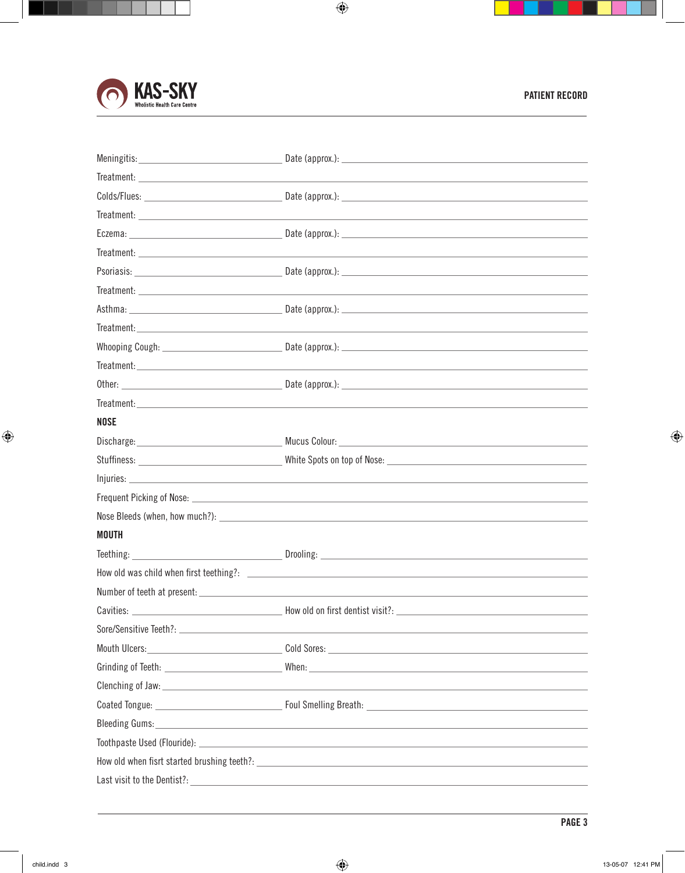

| <b>Treatment:</b> Treatment:                                                                                                                                                                                                   |                                                                                                                              |
|--------------------------------------------------------------------------------------------------------------------------------------------------------------------------------------------------------------------------------|------------------------------------------------------------------------------------------------------------------------------|
| <b>NOSE</b>                                                                                                                                                                                                                    |                                                                                                                              |
|                                                                                                                                                                                                                                |                                                                                                                              |
|                                                                                                                                                                                                                                |                                                                                                                              |
|                                                                                                                                                                                                                                |                                                                                                                              |
|                                                                                                                                                                                                                                |                                                                                                                              |
|                                                                                                                                                                                                                                |                                                                                                                              |
| <b>MOUTH</b>                                                                                                                                                                                                                   |                                                                                                                              |
|                                                                                                                                                                                                                                |                                                                                                                              |
|                                                                                                                                                                                                                                |                                                                                                                              |
|                                                                                                                                                                                                                                |                                                                                                                              |
|                                                                                                                                                                                                                                |                                                                                                                              |
|                                                                                                                                                                                                                                |                                                                                                                              |
| Mouth Ulcers: New York Changes and Changes and Changes and Changes and Changes and Changes and Changes and Changes and Changes and Changes and Changes and Changes and Changes and Changes and Changes and Changes and Changes |                                                                                                                              |
|                                                                                                                                                                                                                                |                                                                                                                              |
|                                                                                                                                                                                                                                |                                                                                                                              |
|                                                                                                                                                                                                                                |                                                                                                                              |
|                                                                                                                                                                                                                                |                                                                                                                              |
|                                                                                                                                                                                                                                |                                                                                                                              |
|                                                                                                                                                                                                                                | How old when fistt started brushing teeth?: example and a started brush of the started brush of the started brushing teeth?: |
| Last visit to the Dentist?: University of the Second Contract of the Contract of the Contract of the Contract of                                                                                                               |                                                                                                                              |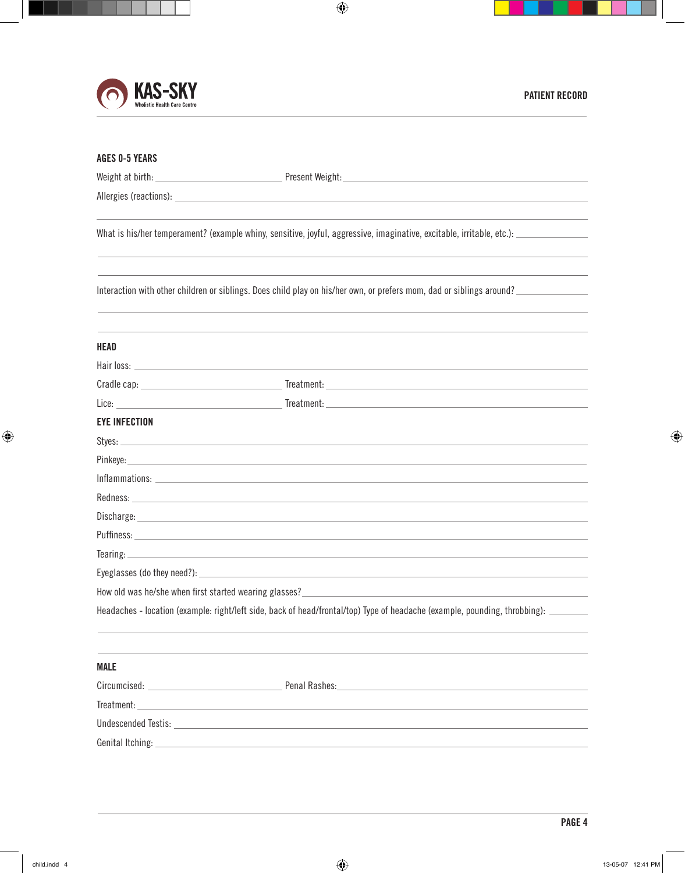

L,

| <b>AGES 0-5 YEARS</b> |                                                                                                                                                                                                                                     |
|-----------------------|-------------------------------------------------------------------------------------------------------------------------------------------------------------------------------------------------------------------------------------|
|                       |                                                                                                                                                                                                                                     |
|                       |                                                                                                                                                                                                                                     |
|                       | What is his/her temperament? (example whiny, sensitive, joyful, aggressive, imaginative, excitable, irritable, etc.): ________________                                                                                              |
|                       | Interaction with other children or siblings. Does child play on his/her own, or prefers mom, dad or siblings around?                                                                                                                |
| <b>HEAD</b>           |                                                                                                                                                                                                                                     |
|                       |                                                                                                                                                                                                                                     |
|                       |                                                                                                                                                                                                                                     |
|                       |                                                                                                                                                                                                                                     |
| <b>EYE INFECTION</b>  |                                                                                                                                                                                                                                     |
|                       |                                                                                                                                                                                                                                     |
|                       |                                                                                                                                                                                                                                     |
|                       |                                                                                                                                                                                                                                     |
|                       |                                                                                                                                                                                                                                     |
|                       | Discharge: <b>Management and Community Community</b> Contract and Community Community Community Community Community Community Community Community Community Community Community Community Community Community Community Community C |
|                       |                                                                                                                                                                                                                                     |
|                       |                                                                                                                                                                                                                                     |
|                       |                                                                                                                                                                                                                                     |
|                       |                                                                                                                                                                                                                                     |
|                       | Headaches - location (example: right/left side, back of head/frontal/top) Type of headache (example, pounding, throbbing): _______                                                                                                  |
| <b>MALE</b>           |                                                                                                                                                                                                                                     |
|                       |                                                                                                                                                                                                                                     |
| Treatment:            | <u> 1989 - Johann Stoff, deutscher Stoffen und der Stoffen und der Stoffen und der Stoffen und der Stoffen und der</u>                                                                                                              |
|                       |                                                                                                                                                                                                                                     |
|                       |                                                                                                                                                                                                                                     |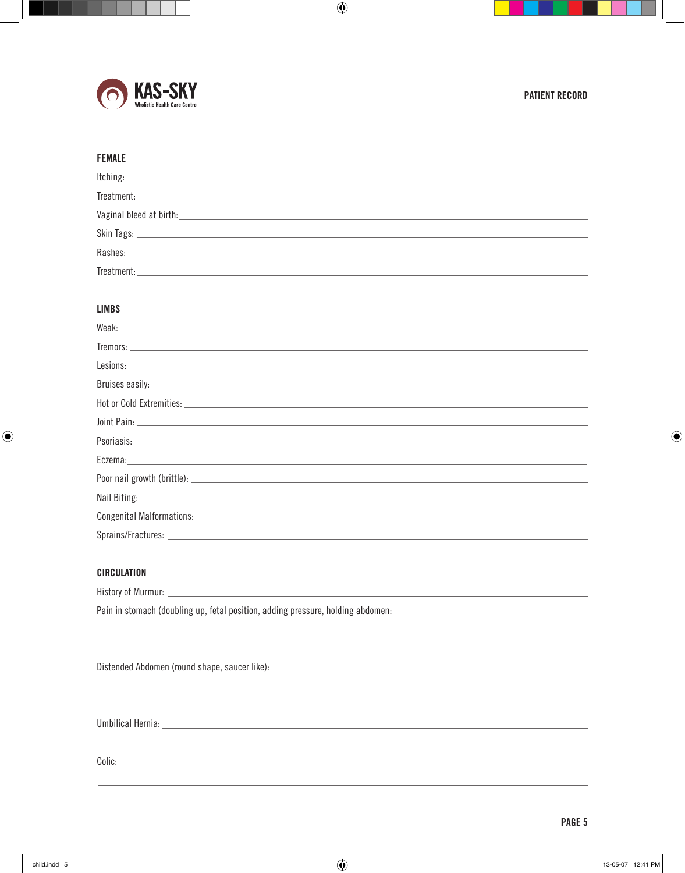

# **FEMALE**

| $\begin{tabular}{c} Trecation: 19.14\,cm & Trecation: 19.14\,cm & Trecation: 19.14\,cm & Trecation: 19.14\,cm & Trecation: 19.14\,cm & Trecation: 19.14\,cm & Trecation: 19.14\,cm & Trecation: 19.14\,cm & Trecation: 19.14\,cm & Trecation: 19.14\,cm & Trecation: 19.14\,cm & Trecation: 19.14\,cm & Trecation: 19.14\,cm & Trecation: 19.14\,cm & Trecation: 19.14\,cm & Trec$ |  |
|------------------------------------------------------------------------------------------------------------------------------------------------------------------------------------------------------------------------------------------------------------------------------------------------------------------------------------------------------------------------------------|--|
| Vaginal bleed at birth: Vaginal bleed at birth:                                                                                                                                                                                                                                                                                                                                    |  |
|                                                                                                                                                                                                                                                                                                                                                                                    |  |
| Rashes: North Commission and Commission and Commission and Commission and Commission and Commission                                                                                                                                                                                                                                                                                |  |
| Treatment:                                                                                                                                                                                                                                                                                                                                                                         |  |

#### **LIMBS**

| Joint Pain: <u>Alexander Alexander Alexander Alexander Alexander Alexander Alexander Alexander Alexander Alexander</u>                                                                                                         |  |
|--------------------------------------------------------------------------------------------------------------------------------------------------------------------------------------------------------------------------------|--|
|                                                                                                                                                                                                                                |  |
| Eczema: experimental contract the contract of the contract of the contract of the contract of the contract of the contract of the contract of the contract of the contract of the contract of the contract of the contract of  |  |
|                                                                                                                                                                                                                                |  |
|                                                                                                                                                                                                                                |  |
|                                                                                                                                                                                                                                |  |
| Sprains/Fractures: Later and the contractor of the contractor of the contractor of the contractor of the contractor of the contractor of the contractor of the contractor of the contractor of the contractor of the contracto |  |

## **CIRCULATION**

| Pain in stomach (doubling up, fetal position, adding pressure, holding abdomen: ______________________________                                                                                                                       |
|--------------------------------------------------------------------------------------------------------------------------------------------------------------------------------------------------------------------------------------|
| <u> 1999 - Jan Samuel Barbara, margaret eta bat zuen baina erroman zen bat zen bat zen bat zuen bat zen bat zen</u>                                                                                                                  |
| ,我们也不能会在这里,我们也不能会在这里,我们也不能会在这里,我们也不能会在这里,我们也不能会在这里,我们也不能会在这里,我们也不能会在这里,我们也不能会不能会                                                                                                                                                     |
|                                                                                                                                                                                                                                      |
| ,我们也不会有什么?""我们的人,我们也不会有什么?""我们的人,我们也不会有什么?""我们的人,我们也不会有什么?""我们的人,我们也不会有什么?""我们的人                                                                                                                                                     |
| Umbilical Hernia: <u>Communications and the communications of the communications of the communications of the communications of the communications of the communications of the communications of the communications of the comm</u> |
|                                                                                                                                                                                                                                      |
|                                                                                                                                                                                                                                      |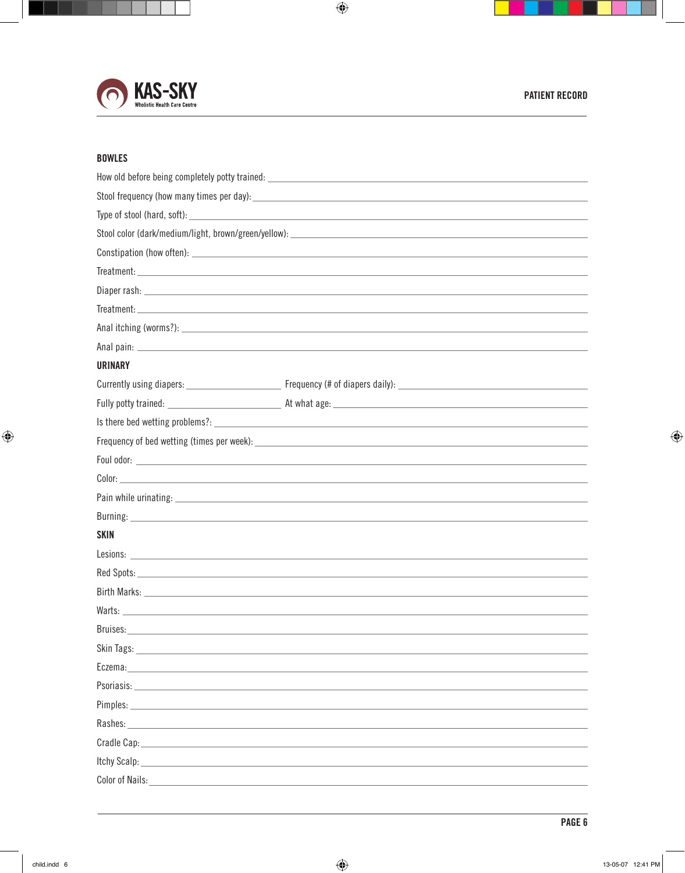

## **BOWLES**

|                                                                                                                                                                                                                                | How old before being completely potty trained: Name and Community of the Community of the Community of the Comm                                                                                                                |  |
|--------------------------------------------------------------------------------------------------------------------------------------------------------------------------------------------------------------------------------|--------------------------------------------------------------------------------------------------------------------------------------------------------------------------------------------------------------------------------|--|
|                                                                                                                                                                                                                                |                                                                                                                                                                                                                                |  |
|                                                                                                                                                                                                                                |                                                                                                                                                                                                                                |  |
|                                                                                                                                                                                                                                |                                                                                                                                                                                                                                |  |
|                                                                                                                                                                                                                                |                                                                                                                                                                                                                                |  |
|                                                                                                                                                                                                                                | Treatment: https://www.archive.com/web/2012/03/2012/03/2012 03/2012 03/2012 04:00:00 04:00:00 04:00:00 05:00:00                                                                                                                |  |
|                                                                                                                                                                                                                                |                                                                                                                                                                                                                                |  |
|                                                                                                                                                                                                                                |                                                                                                                                                                                                                                |  |
|                                                                                                                                                                                                                                |                                                                                                                                                                                                                                |  |
|                                                                                                                                                                                                                                |                                                                                                                                                                                                                                |  |
| <b>URINARY</b>                                                                                                                                                                                                                 |                                                                                                                                                                                                                                |  |
|                                                                                                                                                                                                                                |                                                                                                                                                                                                                                |  |
|                                                                                                                                                                                                                                |                                                                                                                                                                                                                                |  |
|                                                                                                                                                                                                                                |                                                                                                                                                                                                                                |  |
|                                                                                                                                                                                                                                |                                                                                                                                                                                                                                |  |
|                                                                                                                                                                                                                                |                                                                                                                                                                                                                                |  |
|                                                                                                                                                                                                                                |                                                                                                                                                                                                                                |  |
|                                                                                                                                                                                                                                | Pain while urinating: example, the state of the state of the state of the state of the state of the state of the state of the state of the state of the state of the state of the state of the state of the state of the state |  |
|                                                                                                                                                                                                                                |                                                                                                                                                                                                                                |  |
| <b>SKIN</b>                                                                                                                                                                                                                    |                                                                                                                                                                                                                                |  |
|                                                                                                                                                                                                                                |                                                                                                                                                                                                                                |  |
|                                                                                                                                                                                                                                | Red Spots: New York: New York: New York: New York: New York: New York: New York: New York: New York: New York:                                                                                                                 |  |
|                                                                                                                                                                                                                                |                                                                                                                                                                                                                                |  |
|                                                                                                                                                                                                                                |                                                                                                                                                                                                                                |  |
|                                                                                                                                                                                                                                |                                                                                                                                                                                                                                |  |
|                                                                                                                                                                                                                                |                                                                                                                                                                                                                                |  |
| Eczema:                                                                                                                                                                                                                        |                                                                                                                                                                                                                                |  |
|                                                                                                                                                                                                                                |                                                                                                                                                                                                                                |  |
| Pimples: $\_$                                                                                                                                                                                                                  |                                                                                                                                                                                                                                |  |
| Rashes: The contract of the contract of the contract of the contract of the contract of the contract of the contract of the contract of the contract of the contract of the contract of the contract of the contract of the co |                                                                                                                                                                                                                                |  |
|                                                                                                                                                                                                                                |                                                                                                                                                                                                                                |  |
|                                                                                                                                                                                                                                |                                                                                                                                                                                                                                |  |
| Color of Nails: The Color of Nails:                                                                                                                                                                                            |                                                                                                                                                                                                                                |  |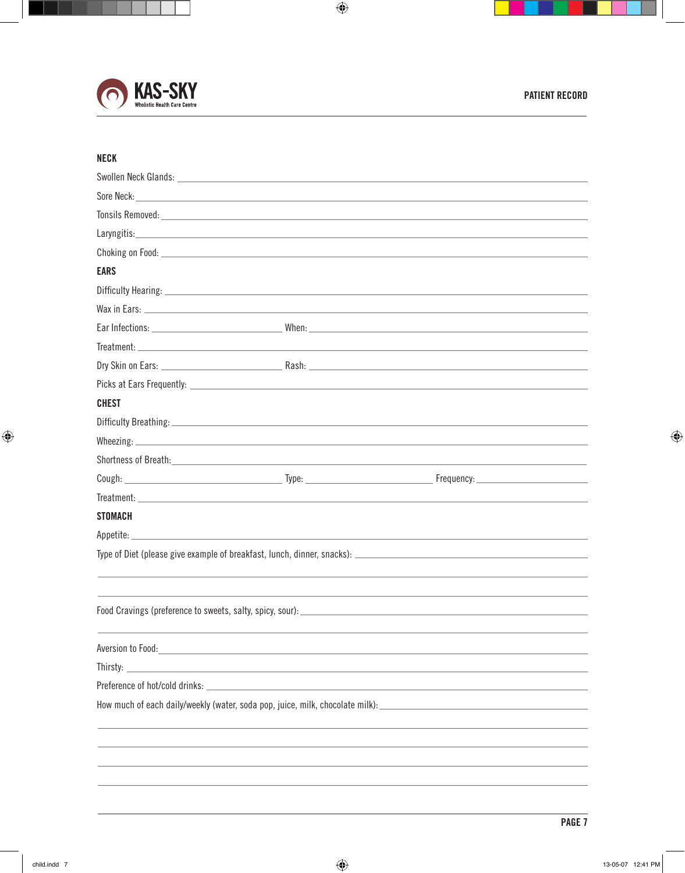

## **NECK**

| Swollen Neck Glands: Neck Contains and Swollen Neck Glands:                                                                                                                                                                               |                                                            |  |
|-------------------------------------------------------------------------------------------------------------------------------------------------------------------------------------------------------------------------------------------|------------------------------------------------------------|--|
| Sore Neck: New York: New York: New York: New York: New York: New York: New York: New York: New York: New York: New York: New York: New York: New York: New York: New York: New York: New York: New York: New York: New York: N            |                                                            |  |
| Tonsils Removed: <u>Communications</u> Constant Communications of the Communications of the Communications of the Communications of the Communications of the Communications of the Communications of the Communications of the Com       |                                                            |  |
|                                                                                                                                                                                                                                           |                                                            |  |
|                                                                                                                                                                                                                                           |                                                            |  |
| <b>EARS</b>                                                                                                                                                                                                                               |                                                            |  |
|                                                                                                                                                                                                                                           |                                                            |  |
|                                                                                                                                                                                                                                           |                                                            |  |
|                                                                                                                                                                                                                                           |                                                            |  |
|                                                                                                                                                                                                                                           |                                                            |  |
|                                                                                                                                                                                                                                           |                                                            |  |
|                                                                                                                                                                                                                                           |                                                            |  |
| <b>CHEST</b>                                                                                                                                                                                                                              |                                                            |  |
|                                                                                                                                                                                                                                           |                                                            |  |
|                                                                                                                                                                                                                                           |                                                            |  |
|                                                                                                                                                                                                                                           |                                                            |  |
|                                                                                                                                                                                                                                           |                                                            |  |
|                                                                                                                                                                                                                                           |                                                            |  |
| <b>STOMACH</b>                                                                                                                                                                                                                            |                                                            |  |
|                                                                                                                                                                                                                                           |                                                            |  |
|                                                                                                                                                                                                                                           |                                                            |  |
|                                                                                                                                                                                                                                           |                                                            |  |
|                                                                                                                                                                                                                                           |                                                            |  |
|                                                                                                                                                                                                                                           |                                                            |  |
|                                                                                                                                                                                                                                           |                                                            |  |
| Aversion to Food:                                                                                                                                                                                                                         | <u> 1980 - Johann Barn, amerikansk politiker (d. 1980)</u> |  |
| Thirsty:<br>the control of the control of the control of the control of the control of the control of the control of the control of the control of the control of the control of the control of the control of the control of the control |                                                            |  |
| Preference of hot/cold drinks:                                                                                                                                                                                                            |                                                            |  |
| How much of each daily/weekly (water, soda pop, juice, milk, chocolate milk):                                                                                                                                                             |                                                            |  |
|                                                                                                                                                                                                                                           |                                                            |  |
|                                                                                                                                                                                                                                           |                                                            |  |
|                                                                                                                                                                                                                                           |                                                            |  |
|                                                                                                                                                                                                                                           |                                                            |  |